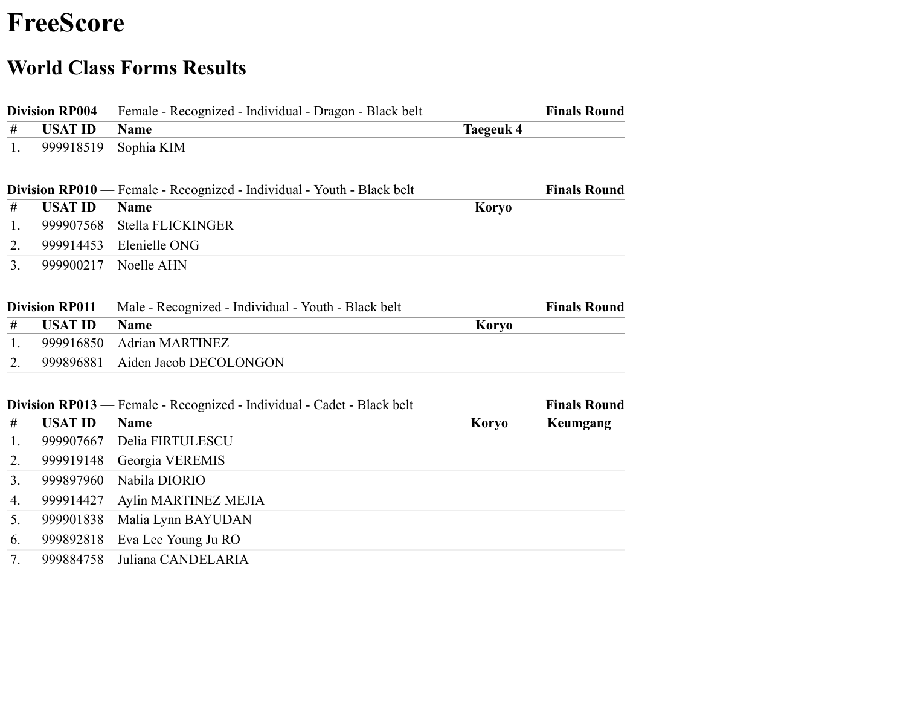## **FreeScore**

## **World Class Forms Results**

|      |                | Division RP004 — Female - Recognized - Individual - Dragon - Black belt       |                  | <b>Finals Round</b> |
|------|----------------|-------------------------------------------------------------------------------|------------------|---------------------|
| #    | <b>USAT ID</b> | <b>Name</b>                                                                   | <b>Taegeuk 4</b> |                     |
| 1.   | 999918519      | Sophia KIM                                                                    |                  |                     |
|      |                | <b>Division RP010</b> — Female - Recognized - Individual - Youth - Black belt |                  | <b>Finals Round</b> |
| $\#$ | <b>USAT ID</b> | <b>Name</b>                                                                   | <b>Koryo</b>     |                     |
| 1.   | 999907568      | Stella FLICKINGER                                                             |                  |                     |
| 2.   | 999914453      | Elenielle ONG                                                                 |                  |                     |
| 3.   | 999900217      | Noelle AHN                                                                    |                  |                     |
|      |                | Division RP011 — Male - Recognized - Individual - Youth - Black belt          |                  | <b>Finals Round</b> |
| #    | <b>USAT ID</b> | <b>Name</b>                                                                   | <b>Koryo</b>     |                     |
| 1.   | 999916850      | <b>Adrian MARTINEZ</b>                                                        |                  |                     |
| 2.   | 999896881      | Aiden Jacob DECOLONGON                                                        |                  |                     |
|      |                | Division RP013 — Female - Recognized - Individual - Cadet - Black belt        |                  | <b>Finals Round</b> |
| #    | <b>USAT ID</b> | <b>Name</b>                                                                   | <b>Koryo</b>     | Keumgang            |
| 1.   | 999907667      | Delia FIRTULESCU                                                              |                  |                     |
| 2.   | 999919148      | Georgia VEREMIS                                                               |                  |                     |
| 3.   | 999897960      | Nabila DIORIO                                                                 |                  |                     |
| 4.   | 999914427      | Aylin MARTINEZ MEJIA                                                          |                  |                     |
| 5.   | 999901838      | Malia Lynn BAYUDAN                                                            |                  |                     |
| 6.   | 999892818      | Eva Lee Young Ju RO                                                           |                  |                     |
| 7.   | 999884758      | Juliana CANDELARIA                                                            |                  |                     |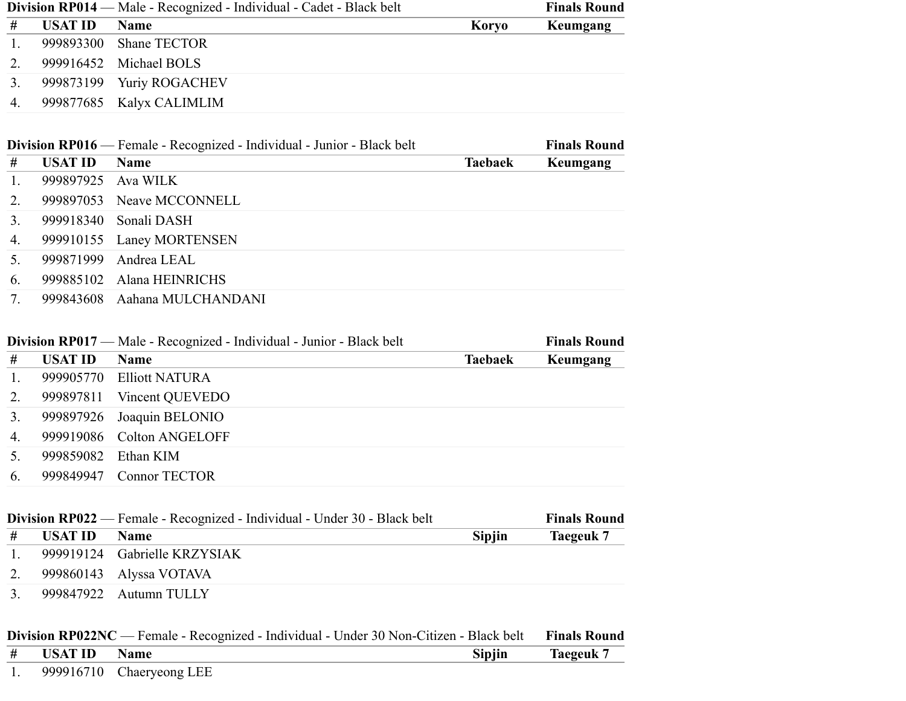|    | Division RP014 — Male - Recognized - Individual - Cadet - Black belt |                          |       | <b>Finals Round</b> |
|----|----------------------------------------------------------------------|--------------------------|-------|---------------------|
| #  | <b>USAT ID</b>                                                       | <b>Name</b>              | Koryo | Keumgang            |
| 1. |                                                                      | 999893300 Shane TECTOR   |       |                     |
| 2. |                                                                      | 999916452 Michael BOLS   |       |                     |
| 3. |                                                                      | 999873199 Yuriy ROGACHEV |       |                     |
| 4. |                                                                      | 999877685 Kalyx CALIMLIM |       |                     |

|                | Division RP016 — Female - Recognized - Individual - Junior - Black belt |                              |                | <b>Finals Round</b> |
|----------------|-------------------------------------------------------------------------|------------------------------|----------------|---------------------|
| #              | USAT ID                                                                 | <b>Name</b>                  | <b>Taebaek</b> | Keumgang            |
| $\mathbf{1}$ . |                                                                         | 999897925 Ava WILK           |                |                     |
| 2.             |                                                                         | 999897053 Neave MCCONNELL    |                |                     |
| 3.             | 999918340                                                               | Sonali DASH                  |                |                     |
| 4.             |                                                                         | 999910155 Laney MORTENSEN    |                |                     |
| 5 <sub>1</sub> |                                                                         | 999871999 Andrea LEAL        |                |                     |
| 6.             |                                                                         | 999885102 Alana HEINRICHS    |                |                     |
| 7.             |                                                                         | 999843608 Aahana MULCHANDANI |                |                     |

|                  | Division RP017 — Male - Recognized - Individual - Junior - Black belt |                           |                | <b>Finals Round</b> |
|------------------|-----------------------------------------------------------------------|---------------------------|----------------|---------------------|
| #                | <b>USAT ID</b>                                                        | <b>Name</b>               | <b>Taebaek</b> | Keumgang            |
| $\overline{1}$ . |                                                                       | 999905770 Elliott NATURA  |                |                     |
| 2.               |                                                                       | 999897811 Vincent QUEVEDO |                |                     |
| 3.               |                                                                       | 999897926 Joaquin BELONIO |                |                     |
| 4.               |                                                                       | 999919086 Colton ANGELOFF |                |                     |
| . 5.             | 999859082                                                             | Ethan KIM                 |                |                     |
| 6.               |                                                                       | 999849947 Connor TECTOR   |                |                     |

|                | <b>Division RP022</b> — Female - Recognized - Individual - Under 30 - Black belt |                              |               | <b>Finals Round</b> |
|----------------|----------------------------------------------------------------------------------|------------------------------|---------------|---------------------|
| #              | USAT ID                                                                          | <b>Name</b>                  | <b>Sipjin</b> | Taegeuk 7           |
|                |                                                                                  | 999919124 Gabrielle KRZYSIAK |               |                     |
|                |                                                                                  | 999860143 Alyssa VOTAVA      |               |                     |
| 3 <sub>1</sub> |                                                                                  | 999847922 Autumn TULLY       |               |                     |

|  | Division RP022NC — Female - Recognized - Individual - Under 30 Non-Citizen - Black belt Finals Round |                               |               |           |
|--|------------------------------------------------------------------------------------------------------|-------------------------------|---------------|-----------|
|  | $\#$ USAT ID                                                                                         | <b>Name</b>                   | <b>Sipjin</b> | Taegeuk 7 |
|  |                                                                                                      | 1. $999916710$ Chaeryeong LEE |               |           |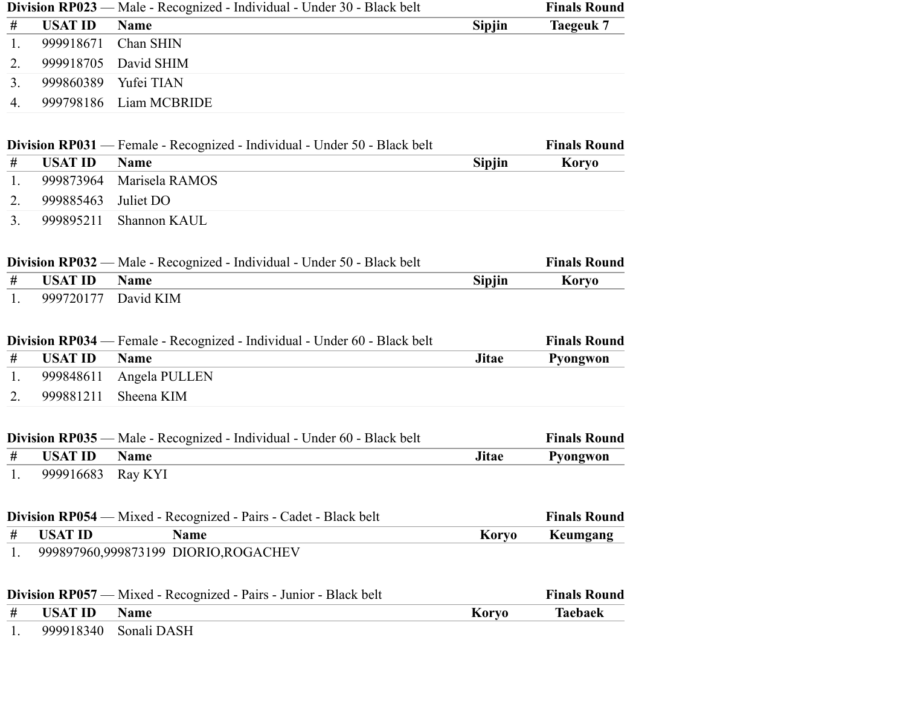|      | <b>Division RP023 -</b> | Male - Recognized - Individual - Under 30 - Black belt                         |               | <b>Finals Round</b> |
|------|-------------------------|--------------------------------------------------------------------------------|---------------|---------------------|
| #    | <b>USAT ID</b>          | <b>Name</b>                                                                    | <b>Sipjin</b> | <b>Taegeuk 7</b>    |
| 1.   | 999918671               | Chan SHIN                                                                      |               |                     |
| 2.   | 999918705               | David SHIM                                                                     |               |                     |
| 3.   | 999860389               | Yufei TIAN                                                                     |               |                     |
| 4.   | 999798186               | Liam MCBRIDE                                                                   |               |                     |
|      |                         |                                                                                |               |                     |
|      |                         | Division RP031 — Female - Recognized - Individual - Under 50 - Black belt      |               | <b>Finals Round</b> |
| $\#$ | <b>USAT ID</b>          | <b>Name</b>                                                                    | <b>Sipjin</b> | <b>Koryo</b>        |
| 1.   | 999873964               | Marisela RAMOS                                                                 |               |                     |
| 2.   | 999885463               | Juliet DO                                                                      |               |                     |
| 3.   | 999895211               | Shannon KAUL                                                                   |               |                     |
|      |                         |                                                                                |               |                     |
|      | Division RP032 -        | - Male - Recognized - Individual - Under 50 - Black belt                       |               | <b>Finals Round</b> |
| #    | <b>USAT ID</b>          | <b>Name</b>                                                                    | <b>Sipjin</b> | <b>Koryo</b>        |
| 1.   | 999720177               | David KIM                                                                      |               |                     |
|      |                         |                                                                                |               |                     |
|      |                         | Division RP034 — Female - Recognized - Individual - Under 60 - Black belt      |               | <b>Finals Round</b> |
| #    | <b>USAT ID</b>          | <b>Name</b>                                                                    | <b>Jitae</b>  | Pyongwon            |
| 1.   | 999848611               | Angela PULLEN                                                                  |               |                     |
| 2.   | 999881211               | Sheena KIM                                                                     |               |                     |
|      |                         |                                                                                |               |                     |
|      |                         | <b>Division RP035</b> — Male - Recognized - Individual - Under 60 - Black belt |               | <b>Finals Round</b> |
| $\#$ | <b>USAT ID</b>          | <b>Name</b>                                                                    | <b>Jitae</b>  | Pyongwon            |
| 1.   | 999916683               | Ray KYI                                                                        |               |                     |
|      |                         |                                                                                |               |                     |
|      |                         | Division RP054 — Mixed - Recognized - Pairs - Cadet - Black belt               |               | <b>Finals Round</b> |
| #    | <b>USAT ID</b>          | <b>Name</b>                                                                    | <b>Koryo</b>  | Keumgang            |
| 1.   |                         | 999897960,999873199 DIORIO,ROGACHEV                                            |               |                     |
|      |                         |                                                                                |               |                     |
|      |                         | <b>Division RP057</b> — Mixed - Recognized - Pairs - Junior - Black belt       |               | <b>Finals Round</b> |
| #    | <b>USAT ID</b>          | <b>Name</b>                                                                    | <b>Koryo</b>  | <b>Taebaek</b>      |
| 1.   | 999918340               | Sonali DASH                                                                    |               |                     |
|      |                         |                                                                                |               |                     |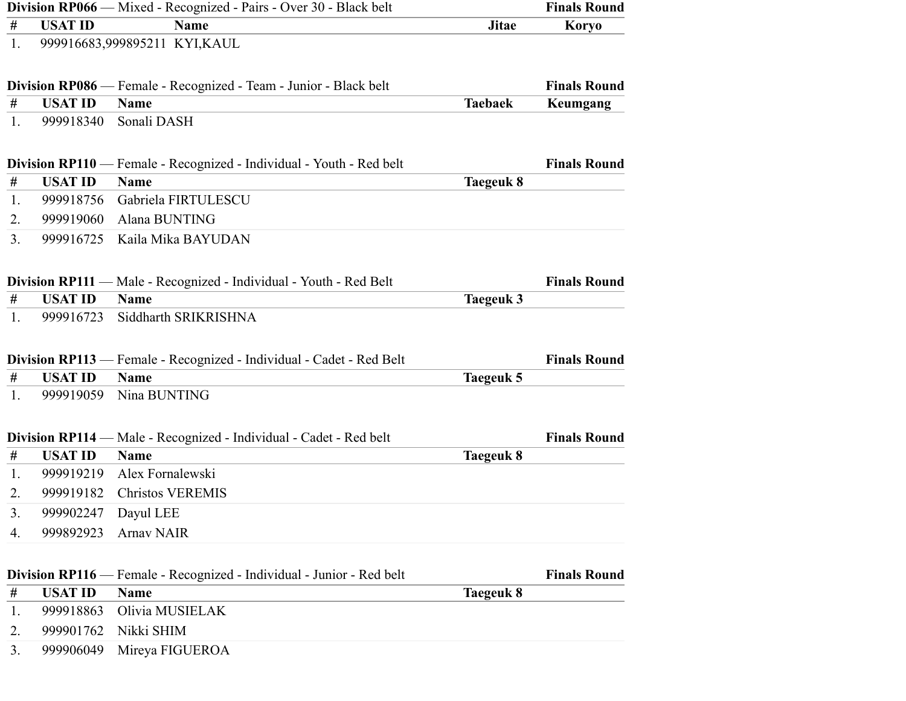|         |                        | <b>Division RP066</b> — Mixed - Recognized - Pairs - Over 30 - Black belt    |                  | <b>Finals Round</b> |
|---------|------------------------|------------------------------------------------------------------------------|------------------|---------------------|
| $^{\#}$ | <b>USAT ID</b>         | <b>Name</b>                                                                  | <b>Jitae</b>     | <b>Koryo</b>        |
| 1.      |                        | 999916683,999895211 KYI,KAUL                                                 |                  |                     |
|         |                        | <b>Division RP086</b> — Female - Recognized - Team - Junior - Black belt     |                  | <b>Finals Round</b> |
| #       | <b>USAT ID</b>         | <b>Name</b>                                                                  | <b>Taebaek</b>   | Keumgang            |
| 1.      | 999918340              | Sonali DASH                                                                  |                  |                     |
|         |                        | <b>Division RP110</b> — Female - Recognized - Individual - Youth - Red belt  |                  | <b>Finals Round</b> |
| #       | <b>USAT ID</b>         | <b>Name</b>                                                                  | Taegeuk 8        |                     |
| 1.      | 999918756              | Gabriela FIRTULESCU                                                          |                  |                     |
| 2.      | 999919060              | Alana BUNTING                                                                |                  |                     |
| 3.      | 999916725              | Kaila Mika BAYUDAN                                                           |                  |                     |
|         |                        | <b>Division RP111</b> — Male - Recognized - Individual - Youth - Red Belt    |                  | <b>Finals Round</b> |
| $^{\#}$ | <b>USAT ID</b>         | <b>Name</b>                                                                  | <b>Taegeuk 3</b> |                     |
| 1.      | 999916723              | Siddharth SRIKRISHNA                                                         |                  |                     |
|         |                        | <b>Division RP113</b> — Female - Recognized - Individual - Cadet - Red Belt  |                  | <b>Finals Round</b> |
| $\#$    | <b>USAT ID</b>         | <b>Name</b>                                                                  | <b>Taegeuk 5</b> |                     |
| 1.      | 999919059              | Nina BUNTING                                                                 |                  |                     |
|         | <b>Division RP114-</b> | - Male - Recognized - Individual - Cadet - Red belt                          |                  | <b>Finals Round</b> |
| #       | <b>USAT ID</b>         | <b>Name</b>                                                                  | Taegeuk 8        |                     |
| 1.      | 999919219              | Alex Fornalewski                                                             |                  |                     |
| 2.      | 999919182              | <b>Christos VEREMIS</b>                                                      |                  |                     |
| 3.      | 999902247              | Dayul LEE                                                                    |                  |                     |
| 4.      | 999892923              | <b>Arnav NAIR</b>                                                            |                  |                     |
|         |                        | <b>Division RP116</b> — Female - Recognized - Individual - Junior - Red belt |                  | <b>Finals Round</b> |
| #       | <b>USAT ID</b>         | <b>Name</b>                                                                  | <b>Taegeuk 8</b> |                     |
| 1.      | 999918863              | Olivia MUSIELAK                                                              |                  |                     |
| 2.      | 999901762              | Nikki SHIM                                                                   |                  |                     |
| 3.      | 999906049              | Mireya FIGUEROA                                                              |                  |                     |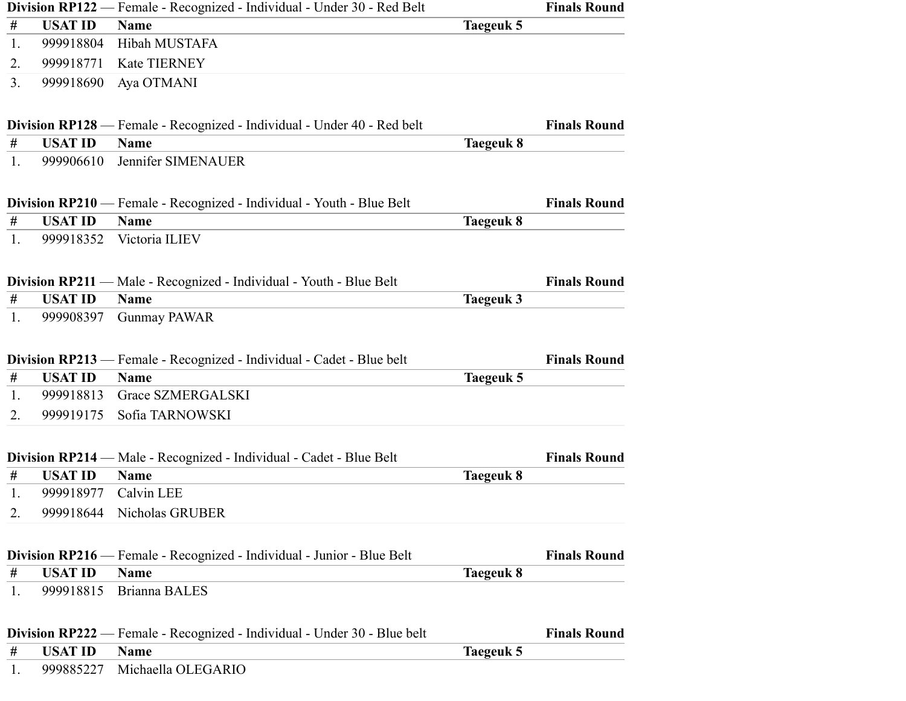|         |                | Division RP122 — Female - Recognized - Individual - Under 30 - Red Belt         |                  | <b>Finals Round</b> |
|---------|----------------|---------------------------------------------------------------------------------|------------------|---------------------|
| #       | <b>USAT ID</b> | <b>Name</b>                                                                     | Taegeuk 5        |                     |
| 1.      | 999918804      | Hibah MUSTAFA                                                                   |                  |                     |
| 2.      | 999918771      | Kate TIERNEY                                                                    |                  |                     |
| 3.      | 999918690      | Aya OTMANI                                                                      |                  |                     |
|         |                | Division RP128 — Female - Recognized - Individual - Under 40 - Red belt         |                  | <b>Finals Round</b> |
| #       | <b>USAT ID</b> | <b>Name</b>                                                                     | <b>Taegeuk 8</b> |                     |
| 1.      | 999906610      | Jennifer SIMENAUER                                                              |                  |                     |
|         |                | Division RP210 — Female - Recognized - Individual - Youth - Blue Belt           |                  | <b>Finals Round</b> |
| $^{\#}$ | <b>USAT ID</b> | <b>Name</b>                                                                     | Taegeuk 8        |                     |
| 1.      | 999918352      | Victoria ILIEV                                                                  |                  |                     |
|         |                | <b>Division RP211</b> — Male - Recognized - Individual - Youth - Blue Belt      |                  | <b>Finals Round</b> |
| #       | <b>USAT ID</b> | <b>Name</b>                                                                     | <b>Taegeuk 3</b> |                     |
| 1.      | 999908397      | <b>Gunmay PAWAR</b>                                                             |                  |                     |
|         |                | Division RP213 — Female - Recognized - Individual - Cadet - Blue belt           |                  | <b>Finals Round</b> |
| #       | <b>USAT ID</b> | <b>Name</b>                                                                     | <b>Taegeuk 5</b> |                     |
| 1.      | 999918813      | Grace SZMERGALSKI                                                               |                  |                     |
| 2.      | 999919175      | Sofia TARNOWSKI                                                                 |                  |                     |
|         |                | Division RP214 — Male - Recognized - Individual - Cadet - Blue Belt             |                  | <b>Finals Round</b> |
| #       | <b>USAT ID</b> | <b>Name</b>                                                                     | Taegeuk 8        |                     |
| 1.      | 999918977      | Calvin LEE                                                                      |                  |                     |
| 2.      |                | 999918644 Nicholas GRUBER                                                       |                  |                     |
|         |                | <b>Division RP216</b> — Female - Recognized - Individual - Junior - Blue Belt   |                  | <b>Finals Round</b> |
| #       | <b>USAT ID</b> | <b>Name</b>                                                                     | <b>Taegeuk 8</b> |                     |
| 1.      | 999918815      | <b>Brianna BALES</b>                                                            |                  |                     |
|         |                | <b>Division RP222</b> — Female - Recognized - Individual - Under 30 - Blue belt |                  | <b>Finals Round</b> |
| #       | <b>USAT ID</b> | <b>Name</b>                                                                     | <b>Taegeuk 5</b> |                     |
| 1.      | 999885227      | Michaella OLEGARIO                                                              |                  |                     |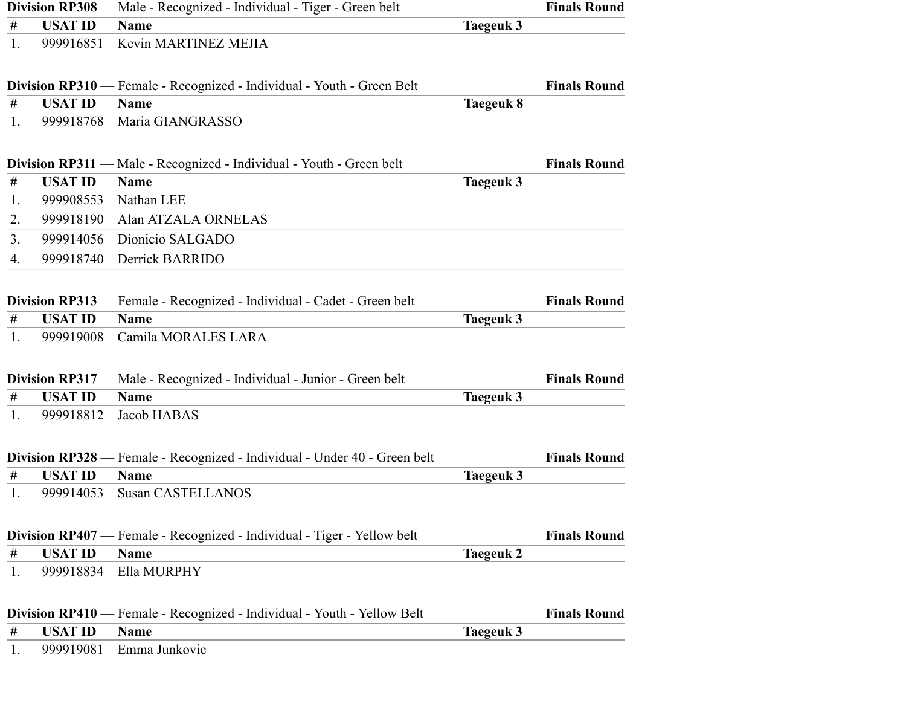|         |                | Division RP308 — Male - Recognized - Individual - Tiger - Green belt           |                  | <b>Finals Round</b> |
|---------|----------------|--------------------------------------------------------------------------------|------------------|---------------------|
| $^{\#}$ | <b>USAT ID</b> | <b>Name</b>                                                                    | <b>Taegeuk 3</b> |                     |
| 1.      | 999916851      | Kevin MARTINEZ MEJIA                                                           |                  |                     |
|         |                | <b>Division RP310</b> — Female - Recognized - Individual - Youth - Green Belt  |                  | <b>Finals Round</b> |
| #       | <b>USAT ID</b> | <b>Name</b>                                                                    | <b>Taegeuk 8</b> |                     |
| 1.      | 999918768      | Maria GIANGRASSO                                                               |                  |                     |
|         |                | <b>Division RP311</b> — Male - Recognized - Individual - Youth - Green belt    |                  | <b>Finals Round</b> |
| #       | <b>USAT ID</b> | <b>Name</b>                                                                    | <b>Taegeuk 3</b> |                     |
| 1.      | 999908553      | Nathan LEE                                                                     |                  |                     |
| 2.      | 999918190      | Alan ATZALA ORNELAS                                                            |                  |                     |
| 3.      | 999914056      | Dionicio SALGADO                                                               |                  |                     |
| 4.      | 999918740      | Derrick BARRIDO                                                                |                  |                     |
|         |                | Division RP313 — Female - Recognized - Individual - Cadet - Green belt         |                  | <b>Finals Round</b> |
| $\#$    | <b>USAT ID</b> | <b>Name</b>                                                                    | <b>Taegeuk 3</b> |                     |
| 1.      | 999919008      | Camila MORALES LARA                                                            |                  |                     |
|         |                | Division RP317 — Male - Recognized - Individual - Junior - Green belt          |                  | <b>Finals Round</b> |
| #       | <b>USAT ID</b> | <b>Name</b>                                                                    | <b>Taegeuk 3</b> |                     |
| 1.      | 999918812      | Jacob HABAS                                                                    |                  |                     |
|         |                | Division RP328 — Female - Recognized - Individual - Under 40 - Green belt      |                  | <b>Finals Round</b> |
| $\#$    | <b>USAT ID</b> | <b>Name</b>                                                                    | Taegeuk 3        |                     |
| 1.      | 999914053      | <b>Susan CASTELLANOS</b>                                                       |                  |                     |
|         |                | <b>Division RP407</b> — Female - Recognized - Individual - Tiger - Yellow belt |                  | <b>Finals Round</b> |
| $\#$    | <b>USAT ID</b> | <b>Name</b>                                                                    | <b>Taegeuk 2</b> |                     |
| 1.      | 999918834      | Ella MURPHY                                                                    |                  |                     |
|         |                | <b>Division RP410</b> — Female - Recognized - Individual - Youth - Yellow Belt |                  | <b>Finals Round</b> |
| #       | <b>USAT ID</b> | <b>Name</b>                                                                    | <b>Taegeuk 3</b> |                     |
| 1.      | 999919081      | Emma Junkovic                                                                  |                  |                     |